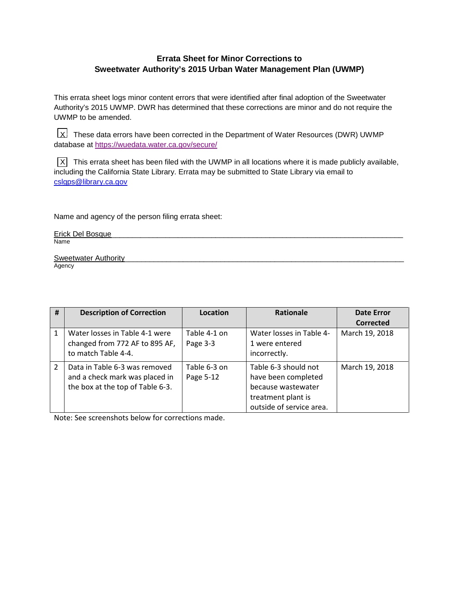## **Errata Sheet for Minor Corrections to Sweetwater Authority's 2015 Urban Water Management Plan (UWMP)**

This errata sheet logs minor content errors that were identified after final adoption of the Sweetwater Authority's 2015 UWMP. DWR has determined that these corrections are minor and do not require the UWMP to be amended.

 $\lfloor \chi \rfloor$  These data errors have been corrected in the Department of Water Resources (DWR) UWMP database at<https://wuedata.water.ca.gov/secure/>

 $\overline{X}$  This errata sheet has been filed with the UWMP in all locations where it is made publicly available, including the California State Library. Errata may be submitted to State Library via email to [cslgps@library.ca.gov](mailto:cslgps@library.ca.gov)

Name and agency of the person filing errata sheet:

| Erick Del Bosque |  |
|------------------|--|
| Name             |  |
|                  |  |

Sweetwater Authority Agency

| # | <b>Description of Correction</b>                                                                    | Location                  | <b>Rationale</b>                                                                                                    | <b>Date Error</b><br>Corrected |
|---|-----------------------------------------------------------------------------------------------------|---------------------------|---------------------------------------------------------------------------------------------------------------------|--------------------------------|
| 1 | Water losses in Table 4-1 were<br>changed from 772 AF to 895 AF,<br>to match Table 4-4.             | Table 4-1 on<br>Page 3-3  | Water losses in Table 4-<br>1 were entered<br>incorrectly.                                                          | March 19, 2018                 |
| 2 | Data in Table 6-3 was removed<br>and a check mark was placed in<br>the box at the top of Table 6-3. | Table 6-3 on<br>Page 5-12 | Table 6-3 should not<br>have been completed<br>because wastewater<br>treatment plant is<br>outside of service area. | March 19, 2018                 |

Note: See screenshots below for corrections made.